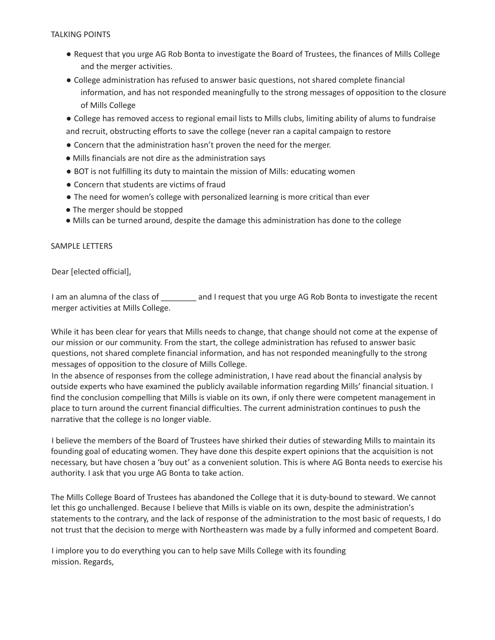## TALKING POINTS

- Request that you urge AG Rob Bonta to investigate the Board of Trustees, the finances of Mills College and the merger activities.
- College administration has refused to answer basic questions, not shared complete financial information, and has not responded meaningfully to the strong messages of opposition to the closure of Mills College
- College has removed access to regional email lists to Mills clubs, limiting ability of alums to fundraise and recruit, obstructing efforts to save the college (never ran a capital campaign to restore
- Concern that the administration hasn't proven the need for the merger.
- Mills financials are not dire as the administration says
- BOT is not fulfilling its duty to maintain the mission of Mills: educating women
- Concern that students are victims of fraud
- The need for women's college with personalized learning is more critical than ever
- The merger should be stopped
- Mills can be turned around, despite the damage this administration has done to the college

## SAMPLE LETTERS

Dear [elected official],

I am an alumna of the class of \_\_\_\_\_\_\_\_ and I request that you urge AG Rob Bonta to investigate the recent merger activities at Mills College.

While it has been clear for years that Mills needs to change, that change should not come at the expense of our mission or our community. From the start, the college administration has refused to answer basic questions, not shared complete financial information, and has not responded meaningfully to the strong messages of opposition to the closure of Mills College.

In the absence of responses from the college administration, I have read about the financial analysis by outside experts who have examined the publicly available information regarding Mills' financial situation. I find the conclusion compelling that Mills is viable on its own, if only there were competent management in place to turn around the current financial difficulties. The current administration continues to push the narrative that the college is no longer viable.

I believe the members of the Board of Trustees have shirked their duties of stewarding Mills to maintain its founding goal of educating women. They have done this despite expert opinions that the acquisition is not necessary, but have chosen a 'buy out' as a convenient solution. This is where AG Bonta needs to exercise his authority. I ask that you urge AG Bonta to take action.

The Mills College Board of Trustees has abandoned the College that it is duty-bound to steward. We cannot let this go unchallenged. Because I believe that Mills is viable on its own, despite the administration's statements to the contrary, and the lack of response of the administration to the most basic of requests, I do not trust that the decision to merge with Northeastern was made by a fully informed and competent Board.

I implore you to do everything you can to help save Mills College with its founding mission. Regards,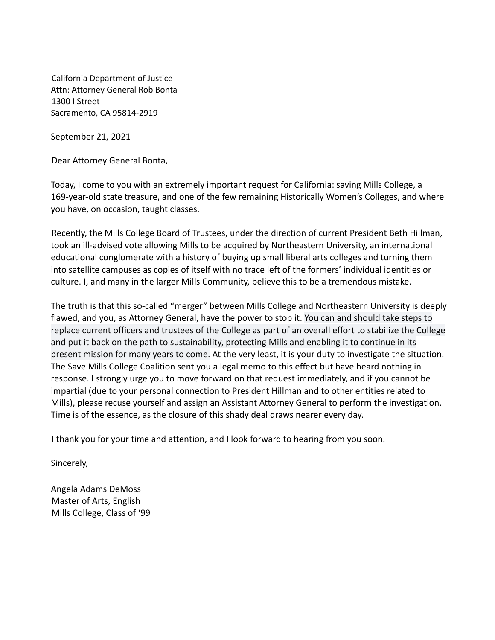California Department of Justice Attn: Attorney General Rob Bonta 1300 I Street Sacramento, CA 95814-2919

September 21, 2021

Dear Attorney General Bonta,

Today, I come to you with an extremely important request for California: saving Mills College, a 169-year-old state treasure, and one of the few remaining Historically Women's Colleges, and where you have, on occasion, taught classes.

Recently, the Mills College Board of Trustees, under the direction of current President Beth Hillman, took an ill-advised vote allowing Mills to be acquired by Northeastern University, an international educational conglomerate with a history of buying up small liberal arts colleges and turning them into satellite campuses as copies of itself with no trace left of the formers' individual identities or culture. I, and many in the larger Mills Community, believe this to be a tremendous mistake.

The truth is that this so-called "merger" between Mills College and Northeastern University is deeply flawed, and you, as Attorney General, have the power to stop it. You can and should take steps to replace current officers and trustees of the College as part of an overall effort to stabilize the College and put it back on the path to sustainability, protecting Mills and enabling it to continue in its present mission for many years to come. At the very least, it is your duty to investigate the situation. The Save Mills College Coalition sent you a legal memo to this effect but have heard nothing in response. I strongly urge you to move forward on that request immediately, and if you cannot be impartial (due to your personal connection to President Hillman and to other entities related to Mills), please recuse yourself and assign an Assistant Attorney General to perform the investigation. Time is of the essence, as the closure of this shady deal draws nearer every day.

I thank you for your time and attention, and I look forward to hearing from you soon.

Sincerely,

Angela Adams DeMoss Master of Arts, English Mills College, Class of '99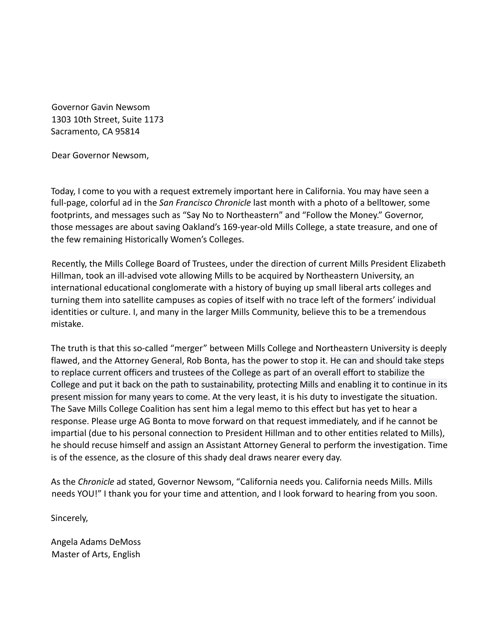Governor Gavin Newsom 1303 10th Street, Suite 1173 Sacramento, CA 95814

Dear Governor Newsom,

Today, I come to you with a request extremely important here in California. You may have seen a full-page, colorful ad in the *San Francisco Chronicle* last month with a photo of a belltower, some footprints, and messages such as "Say No to Northeastern" and "Follow the Money." Governor, those messages are about saving Oakland's 169-year-old Mills College, a state treasure, and one of the few remaining Historically Women's Colleges.

Recently, the Mills College Board of Trustees, under the direction of current Mills President Elizabeth Hillman, took an ill-advised vote allowing Mills to be acquired by Northeastern University, an international educational conglomerate with a history of buying up small liberal arts colleges and turning them into satellite campuses as copies of itself with no trace left of the formers' individual identities or culture. I, and many in the larger Mills Community, believe this to be a tremendous mistake.

The truth is that this so-called "merger" between Mills College and Northeastern University is deeply flawed, and the Attorney General, Rob Bonta, has the power to stop it. He can and should take steps to replace current officers and trustees of the College as part of an overall effort to stabilize the College and put it back on the path to sustainability, protecting Mills and enabling it to continue in its present mission for many years to come. At the very least, it is his duty to investigate the situation. The Save Mills College Coalition has sent him a legal memo to this effect but has yet to hear a response. Please urge AG Bonta to move forward on that request immediately, and if he cannot be impartial (due to his personal connection to President Hillman and to other entities related to Mills), he should recuse himself and assign an Assistant Attorney General to perform the investigation. Time is of the essence, as the closure of this shady deal draws nearer every day.

As the *Chronicle* ad stated, Governor Newsom, "California needs you. California needs Mills. Mills needs YOU!" I thank you for your time and attention, and I look forward to hearing from you soon.

Sincerely,

Angela Adams DeMoss Master of Arts, English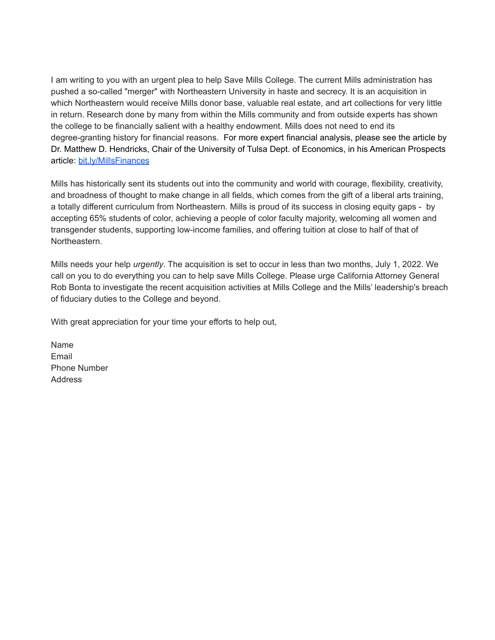I am writing to you with an urgent plea to help Save Mills College. The current Mills administration has pushed a so-called "merger" with Northeastern University in haste and secrecy. It is an acquisition in which Northeastern would receive Mills donor base, valuable real estate, and art collections for very little in return. Research done by many from within the Mills community and from outside experts has shown the college to be financially salient with a healthy endowment. Mills does not need to end its degree-granting history for financial reasons. For more expert financial analysis, please see the article by Dr. Matthew D. Hendricks, Chair of the University of Tulsa Dept. of Economics, in his American Prospects article: [bit.ly/MillsFinances](http://bit.ly/MillsFinances)

Mills has historically sent its students out into the community and world with courage, flexibility, creativity, and broadness of thought to make change in all fields, which comes from the gift of a liberal arts training, a totally different curriculum from Northeastern. Mills is proud of its success in closing equity gaps - by accepting 65% students of color, achieving a people of color faculty majority, welcoming all women and transgender students, supporting low-income families, and offering tuition at close to half of that of Northeastern.

Mills needs your help *urgently*. The acquisition is set to occur in less than two months, July 1, 2022. We call on you to do everything you can to help save Mills College. Please urge California Attorney General Rob Bonta to investigate the recent acquisition activities at Mills College and the Mills' leadership's breach of fiduciary duties to the College and beyond.

With great appreciation for your time your efforts to help out,

Name Email Phone Number **Address**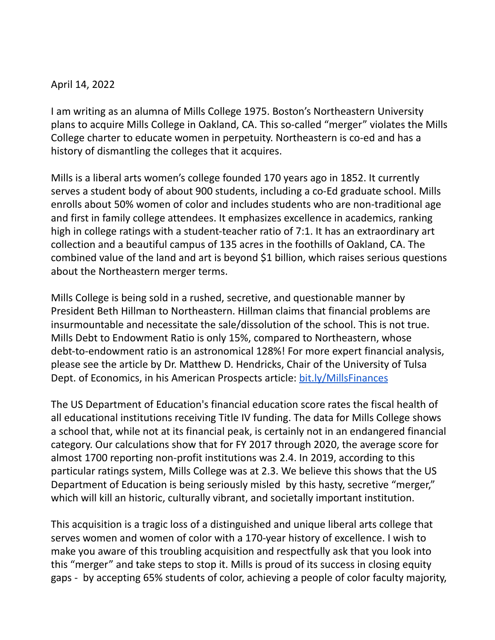## April 14, 2022

I am writing as an alumna of Mills College 1975. Boston's Northeastern University plans to acquire Mills College in Oakland, CA. This so-called "merger" violates the Mills College charter to educate women in perpetuity. Northeastern is co-ed and has a history of dismantling the colleges that it acquires.

Mills is a liberal arts women's college founded 170 years ago in 1852. It currently serves a student body of about 900 students, including a co-Ed graduate school. Mills enrolls about 50% women of color and includes students who are non-traditional age and first in family college attendees. It emphasizes excellence in academics, ranking high in college ratings with a student-teacher ratio of 7:1. It has an extraordinary art collection and a beautiful campus of 135 acres in the foothills of Oakland, CA. The combined value of the land and art is beyond \$1 billion, which raises serious questions about the Northeastern merger terms.

Mills College is being sold in a rushed, secretive, and questionable manner by President Beth Hillman to Northeastern. Hillman claims that financial problems are insurmountable and necessitate the sale/dissolution of the school. This is not true. Mills Debt to Endowment Ratio is only 15%, compared to Northeastern, whose debt-to-endowment ratio is an astronomical 128%! For more expert financial analysis, please see the article by Dr. Matthew D. Hendricks, Chair of the University of Tulsa Dept. of Economics, in his American Prospects article: [bit.ly/MillsFinances](http://bit.ly/MillsFinances)

The US Department of Education's financial education score rates the fiscal health of all educational institutions receiving Title IV funding. The data for Mills College shows a school that, while not at its financial peak, is certainly not in an endangered financial category. Our calculations show that for FY 2017 through 2020, the average score for almost 1700 reporting non-profit institutions was 2.4. In 2019, according to this particular ratings system, Mills College was at 2.3. We believe this shows that the US Department of Education is being seriously misled by this hasty, secretive "merger," which will kill an historic, culturally vibrant, and societally important institution.

This acquisition is a tragic loss of a distinguished and unique liberal arts college that serves women and women of color with a 170-year history of excellence. I wish to make you aware of this troubling acquisition and respectfully ask that you look into this "merger" and take steps to stop it. Mills is proud of its success in closing equity gaps - by accepting 65% students of color, achieving a people of color faculty majority,